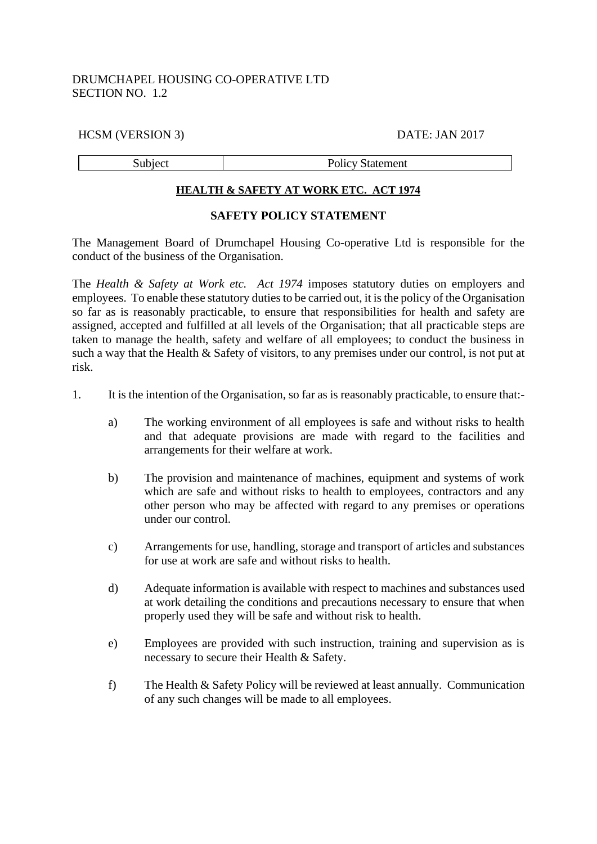# DRUMCHAPEL HOUSING CO-OPERATIVE LTD SECTION NO. 1.2

### HCSM (VERSION 3) DATE: JAN 2017

Subject Policy Statement

#### **HEALTH & SAFETY AT WORK ETC. ACT 1974**

### **SAFETY POLICY STATEMENT**

The Management Board of Drumchapel Housing Co-operative Ltd is responsible for the conduct of the business of the Organisation.

The *Health & Safety at Work etc. Act 1974* imposes statutory duties on employers and employees. To enable these statutory duties to be carried out, it is the policy of the Organisation so far as is reasonably practicable, to ensure that responsibilities for health and safety are assigned, accepted and fulfilled at all levels of the Organisation; that all practicable steps are taken to manage the health, safety and welfare of all employees; to conduct the business in such a way that the Health & Safety of visitors, to any premises under our control, is not put at risk.

- 1. It is the intention of the Organisation, so far as is reasonably practicable, to ensure that:
	- a) The working environment of all employees is safe and without risks to health and that adequate provisions are made with regard to the facilities and arrangements for their welfare at work.
	- b) The provision and maintenance of machines, equipment and systems of work which are safe and without risks to health to employees, contractors and any other person who may be affected with regard to any premises or operations under our control.
	- c) Arrangements for use, handling, storage and transport of articles and substances for use at work are safe and without risks to health.
	- d) Adequate information is available with respect to machines and substances used at work detailing the conditions and precautions necessary to ensure that when properly used they will be safe and without risk to health.
	- e) Employees are provided with such instruction, training and supervision as is necessary to secure their Health & Safety.
	- f) The Health & Safety Policy will be reviewed at least annually. Communication of any such changes will be made to all employees.